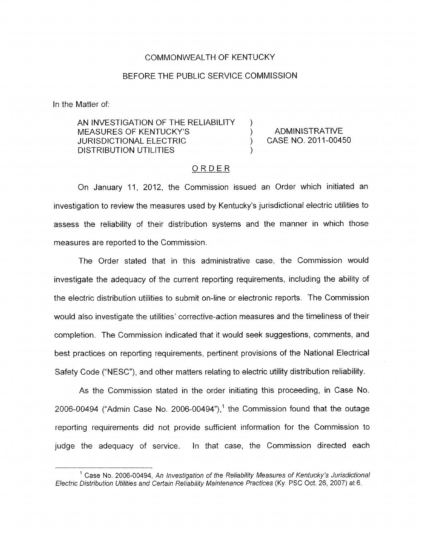### COMMONWEALTH OF KENTUCKY

### BEFORE THE PUBLIC SERVICE COMMISSION

In the Matter of:

AN INVESTIGATION OF THE RELIABILITY MEASURES OF KENTUCKY'S (ADMINISTRATIVE JURISDICTIONAL ELECTRIC ) CASE NO. 2011-00450 DISTRIBUTION UTILITIES ~- ORDER

)

)

 $ORDER$ <br>On January 11, 2012, the Commission issued an Order which initiated an investigation to review the measures used by Kentucky's jurisdictional electric utilities to assess the reliability of their distribution systems and the manner in which those measures are reported to the Commission.

The Order stated that in this administrative case, the Commission would investigate the adequacy of the current reporting requirements, including the ability of the electric distribution utilities to submit on-line or electronic reports. The Commission would also investigate the utilities' corrective-action measures and the timeliness of their completion. The Commission indicated that it would seek suggestions, comments, and best practices on reporting requirements, pertinent provisions of the National Electrical Safety Code ("NESC"), and other matters relating to electric utility distribution reliability.

As the Commission stated in the order initiating this proceeding, in Case No. 2006-00494 ("Admin Case No. 2006-00494"), $<sup>1</sup>$  the Commission found that the outage</sup> reporting requirements did not provide sufficient information for the Commission to judge the adequacy of service. In that case, the Commission directed each

<sup>&</sup>lt;sup>1</sup> Case No. 2006-00494, An Investigation of the Reliability Measures of Kentucky's Jurisdictional *Electric Distribution Utilities and Certain Reliability Maintenance Pracfices* (Ky. PSC Oct. 26, 2007) *at* 6.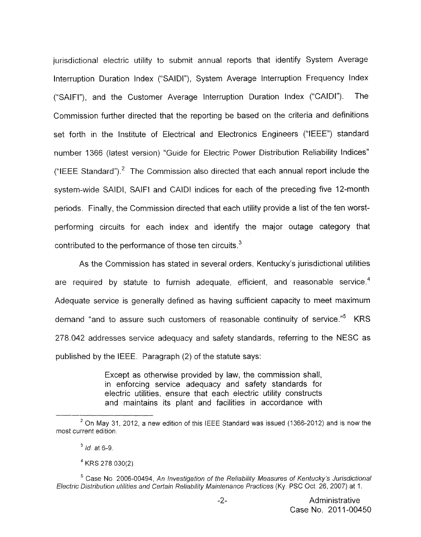jurisdictional electric utility to submit annual reports that identify System Average Interruption Duration Index ("SAIDI"), System Average Interruption Frequency Index ("SAIFI"), and the Customer Average Interruption Duration Index ("CAIDI"). The Commission further directed that the reporting be based an the criteria and definitions set forth in the Institute of Electrical and Electronics Engineers ("IEEE") standard number 1 366 (latest version) "Guide for Electric Power Distribution Reliability Indices" ("IEEE Standard").<sup>2</sup> The Commission also directed that each annual report include the system-wide SAIDI, SAlFl and CAlDl indices for each of the preceding five 12-month periods. Finally, the Commission directed that each utility provide a list of the ten worstperforming circuits for each index and identify the major outage category that contributed to the performance of those ten circuits. $3$ 

As the Commission has stated in several orders, Kentucky's jurisdictional utilities are required by statute to furnish adequate, efficient, and reasonable service.<sup>4</sup> Adequate service is generally defined as having sufficient capacity to meet maximum demand "and to assure such customers of reasonable continuity of service."<sup>5</sup> KRS 278.042 addresses service adequacy and safety standards, referring to the NESC as published by the IEEE. Paragraph (2) of the statute says:

> Except as otherwise provided by law, the commission shall, in enforcing service adequacy and safety standards for electric utilities, ensure that each electric utility constructs and maintains its plant and facilities in accordance with

*On May 31,* 2012, *a new edition* of this IEEE *Standard was issued* (1366-2012) and *is now* the *<sup>2</sup> most current edition.* 

*id* at 6-9. **<sup>3</sup>**

<sup>&</sup>lt;sup>4</sup> KRS 278 030(2)

<sup>&</sup>lt;sup>5</sup> Case No. 2006-00494, An Investigation of the Reliability Measures of Kentucky's Jurisdictional *Electrc Distribution utilities and Certain Reliability Maintenance Practices (Ky* PSC Oct 26, 2007) *at* 1.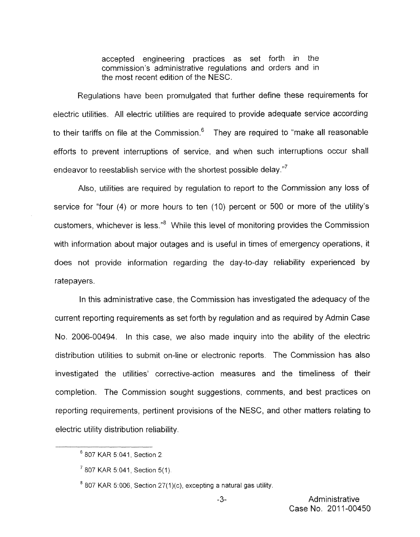accepted engineering practices as set forth in the commission's administrative regulations and orders and in the most recent edition of the NESC.

Regulations have been promulgated that further define these requirements for electric utilities. All electric utilities are required to provide adequate service according to their tariffs on file at the Commission. $<sup>6</sup>$  They are required to "make all reasonable</sup> efforts to prevent interruptions of service, and when such interruptions occur shall endeavor to reestablish service with the shortest possible delay."<sup>7</sup>

Also, utilities are required by regulation to report to the Commission any loss of service far "four **(4)** or more hours to ten (IO) percent or 500 or more of the utility's customers, whichever is less."' While this level of monitoring provides the Commission with information about major outages and is useful in times of emergency operations, it does not provide information regarding the day-to-day reliability experienced by ratepayers.

In this administrative case, the Commission has investigated the adequacy of the current reporting requirements as set forth by regulation and *as* required by Admin Case No. 2006-00494. In this case, we also made inquiry into the ability of the electric distribution utilities to submit on-line or electronic reports. The Commission has also investigated the utilities' corrective-action measures and the timeliness of their completion. The Commission sought suggestions, comments, and best practices on reporting requirements, pertinent provisions of the NESC, and other matters relating to electric utility distribution reliability.

 $6807$  KAR 5:041, Section 2.

 $7$  807 KAR 5:041, Section 5(1).

 $807$  KAR 5:006, Section 27(1)(c), excepting a natural gas utility.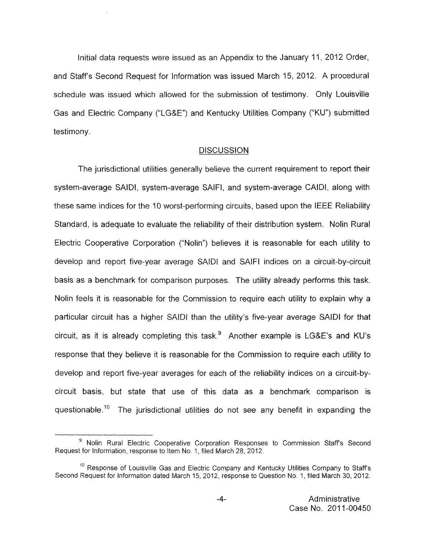Initial data requests were issued as an Appendix to the January 11, 2012 Order, and Staff's Second Request for Information was issued March 15, 2012. A procedural schedule was issued which allowed for the submission of testimony. Only Louisville Gas and Electric Company ("LG&E") and Kentucky Utilities Company ("KU") submitted testimony.

#### **DISCUSSION**

The jurisdictional utilities generally believe the current requirement to report their system-average SAIDI, system-average SAIFI, and system-average CAIDI, along with these same indices for the **IO** worst-performing circuits, based upon the IEEE Reliability Standard, is adequate to evaluate the reliability of their distribution system. Nolin Rural Electric Cooperative Corporation ("Nolin") believes it is reasonable for each utility to develop and report five-year average SAIDI and SAIFI indices on a circuit-by-circuit basis as a benchmark for comparison purposes. The utility already performs this task. Nolin feels it is reasonable for the Commission to require each utility to explain why a particular circuit has a higher SAID1 than the utility's five-year average SAID1 for that circuit, as it is already completing this task.<sup>9</sup> Another example is LG&E's and KU's response that they believe it is reasonable for the Commission to require each utility to develop and report five-year averages for each *of* the reliability indices on a circuit-bycircuit basis, but state that use of this data as a benchmark comparison is questionable.<sup>10</sup> The jurisdictional utilities do not see any benefit in expanding the

<sup>&</sup>lt;sup>9</sup> Nolin Rural Electric Cooperative Corporation Responses to Commission Staff's Second Request for Information, response to Item No 1, filed March 28, 2012.

 $^{10}$  Response of Louisville Gas and Electric Company and Kentucky Utilities Company to Staff's Second Request for Information dated March 15, 2012, response to Question No. 1, filed March 30, 2012.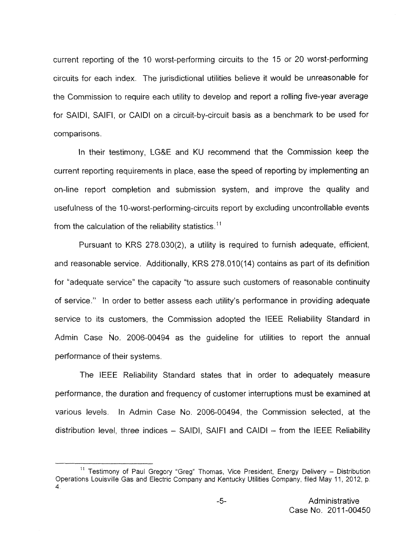current reporting of the IO worst-performing circuits to the I5 or 20 worst-performing circuits for each index. The jurisdictional utilities believe it would be unreasonable for the Commission to require each utility to develop and report a rolling five-year average for SAIDI, SAIFI, or CAlDl on a circuit-by-circuit basis as a benchmark to be used for comparisons.

In their testimony, LG&E and KU recommend that the Commission keep the current reporting requirements in place, ease the speed of reporting by implementing an on-line report completion and submission system, and improve the quality and usefulness of the 10-worst-performing-circuits report by excluding uncontrollable events from the calculation of the reliability statistics.<sup>11</sup>

Pursuant to KRS 278.030(2), a utility is required to furnish adequate, efficient, and reasonable service. Additionally, KRS 278.010(14) contains as part of its definition for "adequate service" the capacity "to assure such customers of reasonable continuity of service." In order to better assess each utility's performance in providing adequate service to its customers, the Commission adopted the IEEE Reliability Standard in Admin Case No. 2006-00494 as the guideline for utilities to report the annual performance of their systems.

The IEEE Reliability Standard states that in order to adequately measure performance, the duration and frequency of customer interruptions must be examined at various levels. In Admin Case No. 2006-00494, the Commission selected, at the distribution level, three indices  $-$  SAIDI, SAIFI and CAIDI  $-$  from the IEEE Reliability

<sup>——————————————&</sup>lt;br><sup>11</sup> Testimony of Paul Gregory "Greg" Thomas, Vice President, Energy Delivery – Distribution <sub>—</sub> Operations Louisville Gas and Electric Company and Kentucky Utilities Company, filed May 11, 2012, p 4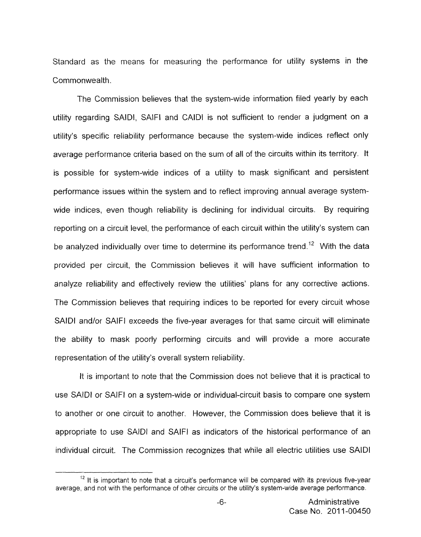Standard as the means for measuring the performance for utility systems in the Commonwealth.

The Commission believes that the system-wide information filed yearly by each utility regarding SAIDI, SAlFl and CAlDl is not sufficient to render a judgment on a utility's specific reliability performance because the system-wide indices reflect only average performance criteria based on the sum of all of the circuits within its territory. It is possible for system-wide indices of a utility to mask significant and persistent performance issues within the system and to reflect improving annual average systemwide indices, even though reliability is declining for individual circuits. By requiring reporting on a circuit level, the performance of each circuit within the utility's system can be analyzed individually over time to determine its performance trend.<sup>12</sup> With the data provided per circuit, the Commission believes it will have sufficient information to analyze reliability and effectively review the utilities' plans for any corrective actions. The Commission believes that requiring indices to be reported for every circuit whose SAID1 and/or SAlFl exceeds the five-year averages for that same circuit will eliminate the ability to mask poorly performing circuits and will provide a more accurate representation *of* the utility's overall system reliability.

It is important to note that the Commission does not believe that it is practical to use SAIDI or SAlFl on a system-wide or individual-circuit basis to compare one system to another or one circuit to another. However, the Commission does believe that it is appropriate to use SAID1 and SAIFI as indicators of the historical performance of an individual circuit. The Commission recognizes that while all electric utilities use SAID1

 $12$  It is important to note that a circuit's performance will be compared with its previous five-year average, and not with the performance of other circuits or the utility's system-wide average performance.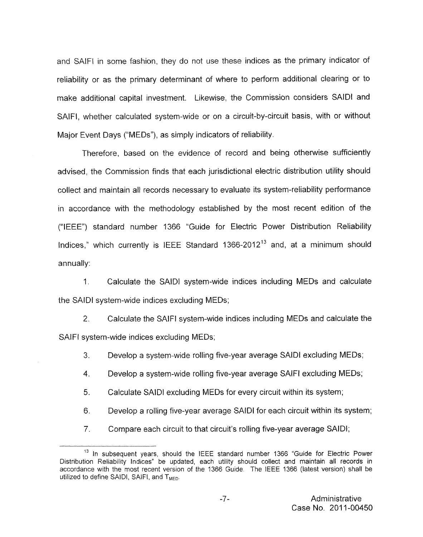and SAIFI in some fashion, they do not use these indices as the primary indicator of reliability or as the primary determinant of where to perform additional clearing or to make additional capital investment, Likewise, the Commission considers SAlDl and SAlFl, whether calculated system-wide or on a circuit-by-circuit basis, with or without Major Event Days ("MEDs"), as simply indicators of reliability.

Therefore, based on the evidence of record and being otherwise sufficiently advised, the Commission finds that each jurisdictional electric distribution utility should collect and maintain all records necessary to evaluate its system-reliability performance in accordance with the methodology established by the most recent edition of the ("IEEE") standard number 1366 "Guide for Electric Power Distribution Reliability Indices," which currently is IEEE Standard 1366-2012<sup>13</sup> and, at a minimum should  $annually:$ 

1 Calculate the SAlDl system-wide indices including MEDs and calculate the SAIDI system-wide indices excluding MEDs;

*2.* Calculate the SAIFI system-wide indices including MEDs and calculate the SAIFI system-wide indices excluding MEDs;

3. Develop a system-wide rolling five-year average SAIDI excluding MEDs;

4. Develop a system-wide rolling five-year average SAIFI excluding MEDs;

5. Calculate SAID1 excluding MEDs for every circuit within its system;

6. Develop a rolling five-year average SAlDl for each circuit within its system;

7. Compare each circuit to that circuit's rolling five-year average SAIDI;

<sup>&</sup>lt;sup>13</sup> In subsequent years, should the IEEE standard number 1366 "Guide for Electric Power Distribution Reliability Indices" be updated, each utility should collect and maintain all records in accordance with the most recent version *of* the 1366 Guide. The IEEE 1366 (latest version) shall be utilized to define SAIDI, SAIFI, and  $T<sub>MED</sub>$ .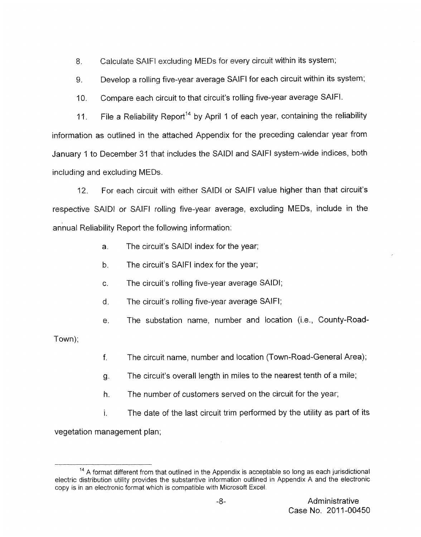8. Calculate SAlFl excluding MEDs for every circuit within its system;

9. Develop a rolling five-year average SAlFl for each circuit within its system;

 $10<sub>1</sub>$ Compare each circuit to that circuit's rolling five-year average SAIFI.

11, File a Reliability Report<sup>14</sup> by April 1 of each year, containing the reliability information as outlined in the attached Appendix for the preceding calendar year from January 1 to December 31 that includes the SAID1 and SAIFI system-wide indices, both including and excluding MEDs.

12. For each circuit with either SAID1 or SAIFI value higher than that circuit's respective SAID1 or SAlFl rolling five-year average, excluding MEDs, include in the annual Reliability Report the following information:

- a. The circuit's SAID1 index for the year;
- b. The circuit's SAIFI index for the year;
- c. The circuit's rolling five-year average SAIDI;
- d. The circuit's rolling five-year average SAIFI;
- e. The substation name, number and location (i.e., County-Road-

Town);

- f. The circuit name, number and location (Town-Road-General Area);
- g. The circuit's overall length in miles to the nearest tenth of a mile;
- h. The number of customers served on the circuit for the year;
- I. The date of the last circuit trim performed by the utility as part of its

vegetation management plan;

<sup>&</sup>lt;sup>14</sup> A format different from that outlined in the Appendix is acceptable so long as each jurisdictional electric distribution utility provides the substantive information outlined in Appendix A and the electronic copy is in an electronic format which is compatible *with* Microsoft Excel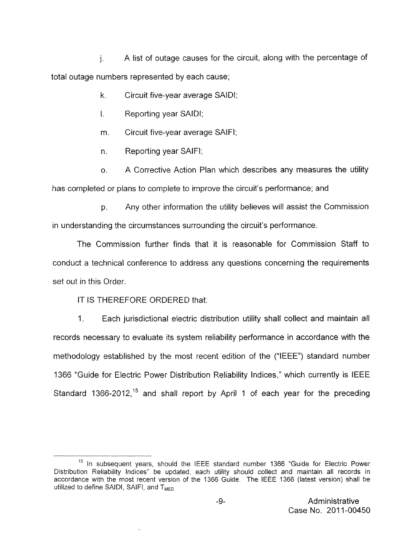1. A list of outage causes for the circuit, along with the percentage of total outage numbers represented by each cause;

- **k.** Circuit five-year average SAIDI;
- I. Reporting year SAIDI;
- m. Circuit five-year average SAIFI;
- n. Reporting year SAIFI;

*0.* A Corrective Action Plan which describes any measures the utility has completed or plans to complete to improve the circuit's performance; and

**p.** Any other information the utility believes will assist the Commission in understanding the circumstances surrounding the circuit's performance.

The Commission further finds that it is reasonable for Commission Staff to conduct a technical conference to address any questions concerning the requirements set out in this Order.

# IT IS THEREFORE ORDERED that:

1. Each jurisdictional electric distribution utility shall collect and maintain all records necessary to evaluate its system reliability performance in accordance with the methodology established by the most recent edition of the ("IEEE") standard number **<sup>7</sup>**366 "Guide for Electric Power Distribution Reliability Indices," which currently is IEEE Standard 1366-2012,<sup>15</sup> and shall report by April 1 of each year for the preceding

 $15$  In subsequent years, should the IEEE standard number 1366 "Guide for Electric Power Distribution Reliability Indices" be updated, each utility should collect and maintain all records in accordance with the most recent version of the 1366 Guide. The IEEE 1366 (latest version) shall be utilized to define SAIDI, SAIFI, and  $T<sub>MPD</sub>$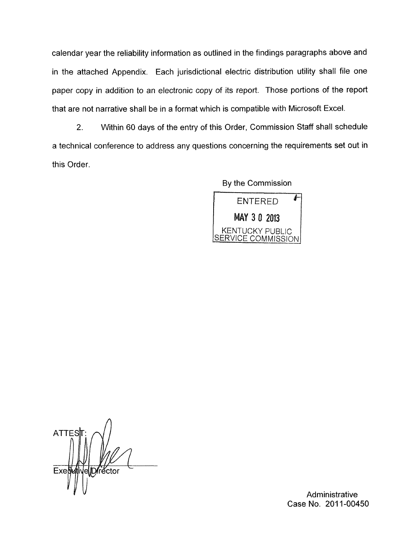calendar year the reliability information as outlined in the findings paragraphs above and in the attached Appendix. Each jurisdictional electric distribution utility shall file one paper copy in addition to an electronic copy of its report. Those portions of the report that are not narrative shall be in a format which is compatible with Microsoft Excel.

2. Within 60 days of the entry of this Order, Commission Staff shall schedule a technical conference to address any questions concerning the requirements set out in this Order

By the Commission



**ATTES** elDrector Exes

Administrative Case No. 2011-00450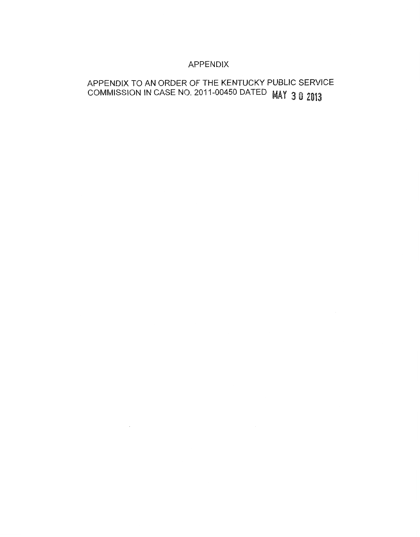# APPENDIX

# APPENDIX TO AN ORDER OF THE KENTUCKY PUBLIC SERVICE COMMISSION IN CASE NO. 2011-00450 DATED MAY 30 2013

 $\mathcal{L}^{\mathcal{L}}(\mathcal{L}^{\mathcal{L}})$  and  $\mathcal{L}^{\mathcal{L}}(\mathcal{L}^{\mathcal{L}})$  . In the  $\mathcal{L}^{\mathcal{L}}(\mathcal{L}^{\mathcal{L}})$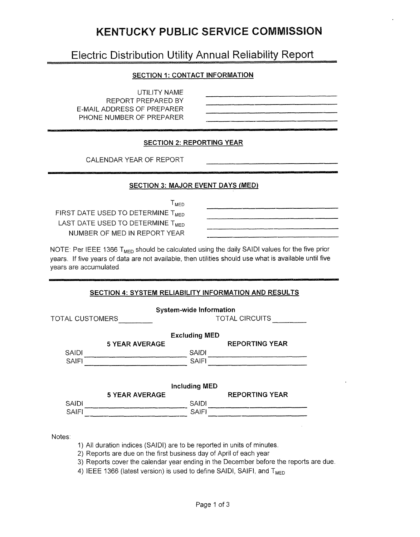# **KENTUCKY PUBLIC SERVICE COMMISSION**

# Electric Distribution Utility Annual Reliability Report

### **SECTION 1: CONTACT INFORMATION**

| <b>SECTION T. CONTACT INFORMATION</b>                            |  |
|------------------------------------------------------------------|--|
| UTILITY NAME<br>REPORT PREPARED BY<br>E-MAIL ADDRESS OF PREPARER |  |
| PHONE NUMBER OF PREPARER                                         |  |

-

--

#### **SECTION 2: REPORTING YEAR**

CALENDAR YEAR OF REPORT

#### **SECTION 3: MAJOR EVENT DAYS (MED)**

 $T_{\text{MED}}$ 

FIRST DATE USED TO DETERMINE T<sub>MED</sub> LAST DATE USED TO DETERMINE T<sub>MED</sub> NUMBER OF MED IN REPORT YEAR

NOTE: Per IEEE 1366  $T<sub>MED</sub>$  should be calculated using the daily SAIDI values for the five prior years. If five years of data are not available, then utilities should use what is available until five years are accumulated

#### **SECTION 4: SYSTEM RELIABILITY INFORMATION AND RESULTS**

|                 |                       | <b>System-wide Information</b> |                       |  |
|-----------------|-----------------------|--------------------------------|-----------------------|--|
| TOTAL CUSTOMERS |                       |                                | <b>TOTAL CIRCUITS</b> |  |
|                 |                       | <b>Excluding MED</b>           |                       |  |
|                 | <b>5 YEAR AVERAGE</b> |                                | <b>REPORTING YEAR</b> |  |
| <b>SAIDI</b>    |                       | <b>SAIDI</b>                   |                       |  |
| <b>SAIFI</b>    |                       | <b>SAIFI</b>                   |                       |  |
|                 |                       |                                |                       |  |
|                 |                       | <b>Including MED</b>           |                       |  |
|                 | <b>5 YEAR AVERAGE</b> |                                | <b>REPORTING YEAR</b> |  |
| <b>SAIDI</b>    |                       | <b>SAIDI</b>                   |                       |  |
| <b>SAIFI</b>    |                       | SAIFI                          |                       |  |

### Notes:

- 1) All duration indices (SAIDI) are to be reported in units of minutes.
- 2) Reports are due on the first business day of April of each year
- 3) Reports cover the calendar year ending in the December before the reports are due.
- 4) IEEE 1366 (latest version) is used to define SAIDI, SAIFI, and T<sub>MED</sub>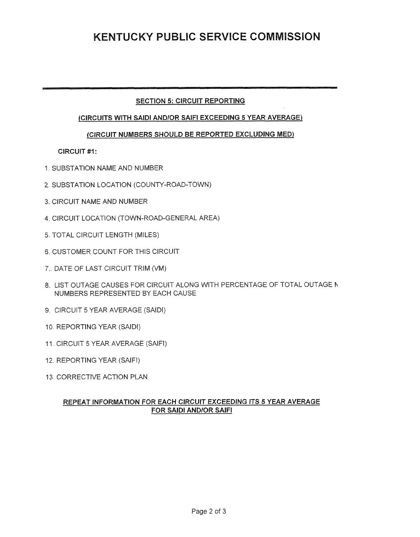# **KENTUCKY PUBLIC SERVICE COMMISSION**

### **SECTION 5: CIRCUIT REPORTING**

#### **jClRCUITS WITH SAlDl AND/OR SAlFl EXCEEDING 5 YEAR AVERAGE)**

#### **(CIRCUIT NUMBERS SHOULD BE REPORTED EXCLUDING MED)**

#### **CIRCUIT** #I :

- 1 SUBSTATION NAME AND NlJMBER
- 2 SUBSTATION LOCATION (COUNTY-ROAD-TOWN)
- 3. CIRCUIT NAME AND NUMBER
- **4.** CIRCUIT LOCATION (TOWN-ROAD-GENERAL AREA)
- 5 TOTAL CIRCUIT LENGTH (MILES)
- 6. CUSTOMER COUNT FOR THIS ClRClJlT
- 7.. DATE **OF** LAST CIRCUIT TRIM (VM)
- 8. LIST OUTAGE CAUSES FOR CIRCUIT ALONG WITH PERCENTAGE OF TOTAL OUTAGE h NUMBERS REPRESENTED BY EACH CAUSE
- 9. CIRCUIT 5 YEAR AVERAGE (SAIDI)
- 10. REPORTING YEAR (SAIDI)
- 11. CIRCUIT 5 YEAR AVERAGE (SAIFI)
- 12. REPORTING YEAR (SAIFI)
- 13. CORRECTIVE ACTION PLAN

### **REPEAT INFORMATION FOR EACH CIRCUIT EXCEEDING ITS 5 YEAR AVERAGE FOR SAID1 AND/OR SAlFI**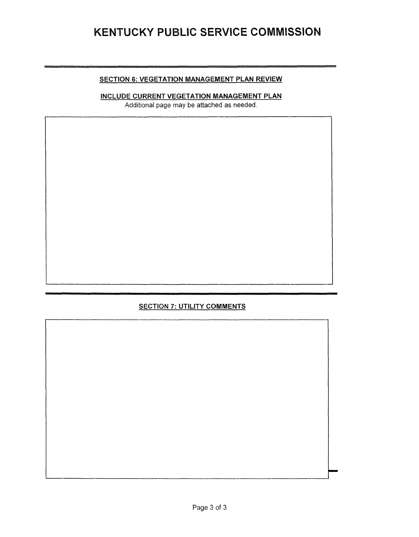# KENTUCKY PUBLIC SERVICE COMMISSION

#### **SECTION 6: VEGETATION MANAGEMENT PLAN REVIEW**

**INCLUDE CURRENT VEGETATION MANAGEMENT PLAN** 

Additional page may be attached as needed.

# **SECTION 7: UTILITY COMMENTS**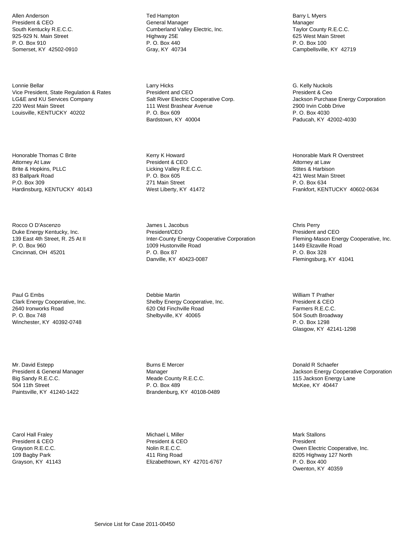Allen Anderson President & CEO South Kentucky R.E.C.C. 925-929 N. Main Street P. O. Box 910 Somerset, KY 42502-0910

Lonnie Bellar Vice President, State Regulation & Rates LG&E and KU Services Company 220 West Main Street Louisville, KENTUCKY 40202

Honorable Thomas C Brite Attorney At Law Brite & Hopkins, PLLC 83 Ballpark Road P.O. Box 309 Hardinsburg, KENTUCKY 40143

Rocco O D'Ascenzo Duke Energy Kentucky, Inc. 139 East 4th Street, R. 25 At II P. O. Box 960 Cincinnati, OH 45201

Paul G Embs Clark Energy Cooperative, Inc. 2640 Ironworks Road P. O. Box 748 Winchester, KY 40392-0748

Mr. David Estepp President & General Manager Big Sandy R.E.C.C. 504 11th Street Paintsville, KY 41240-1422

Carol Hall Fraley President & CEO Grayson R.E.C.C. 109 Bagby Park Grayson, KY 41143 Ted Hampton General Manager Cumberland Valley Electric, Inc. Highway 25E P. O. Box 440 Gray, KY 40734

Larry Hicks President and CEO Salt River Electric Cooperative Corp. 111 West Brashear Avenue P. O. Box 609 Bardstown, KY 40004

Kerry K Howard President & CEO Licking Valley R.E.C.C. P. O. Box 605 271 Main Street West Liberty, KY 41472

James L Jacobus President/CEO Inter-County Energy Cooperative Corporation 1009 Hustonville Road P. O. Box 87 Danville, KY 40423-0087

Debbie Martin Shelby Energy Cooperative, Inc. 620 Old Finchville Road Shelbyville, KY 40065

Burns E Mercer Manager Meade County R.E.C.C. P. O. Box 489 Brandenburg, KY 40108-0489

Michael L Miller President & CEO Nolin R.E.C.C. 411 Ring Road Elizabethtown, KY 42701-6767

Barry L Myers Manager Taylor County R.E.C.C. 625 West Main Street P. O. Box 100 Campbellsville, KY 42719

G. Kelly Nuckols President & Ceo Jackson Purchase Energy Corporation 2900 Irvin Cobb Drive P. O. Box 4030 Paducah, KY 42002-4030

Honorable Mark R Overstreet Attorney at Law Stites & Harbison 421 West Main Street P. O. Box 634 Frankfort, KENTUCKY 40602-0634

Chris Perry President and CEO Fleming-Mason Energy Cooperative, Inc. 1449 Elizaville Road P. O. Box 328 Flemingsburg, KY 41041

William T Prather President & CEO Farmers R.E.C.C. 504 South Broadway P. O. Box 1298 Glasgow, KY 42141-1298

Donald R Schaefer Jackson Energy Cooperative Corporation 115 Jackson Energy Lane McKee, KY 40447

Mark Stallons President Owen Electric Cooperative, Inc. 8205 Highway 127 North P. O. Box 400 Owenton, KY 40359